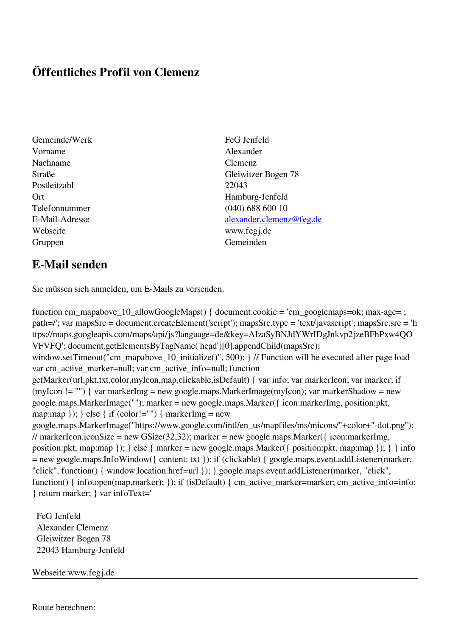## **Öffentliches Profil von Clemenz**

- Gemeinde/Werk FeG Jenfeld Vorname Alexander Nachname Clemenz Postleitzahl 22043 Webseite www.fegj.de Gruppen Gemeinden Gemeinden Gemeinden Gemeinden Gemeinden Gemeinden Gemeinden Gemeinden Gemeinden Gemeinden G
- Straße Gleiwitzer Bogen 78 Ort Hamburg-Jenfeld Telefonnummer (040) 688 600 10 E-Mail-Adresse [alexander.clemenz@feg.de](mailto:alexander.clemenz@feg.de)

## **E-Mail senden**

Sie müssen sich anmelden, um E-Mails zu versenden.

function cm\_mapabove\_10\_allowGoogleMaps() { document.cookie = 'cm\_googlemaps=ok; max-age= ; path=/'; var mapsSrc = document.createElement('script'); mapsSrc.type = 'text/javascript'; mapsSrc.src = 'h ttps://maps.googleapis.com/maps/api/js?language=de&key=AIzaSyBNJdYWrIDgJnkvp2jzeBFhPxw4QO VFVFQ'; document.getElementsByTagName('head')[0].appendChild(mapsSrc); window.setTimeout("cm\_mapabove\_10\_initialize()", 500); } // Function will be executed after page load var cm\_active\_marker=null; var cm\_active\_info=null; function getMarker(url,pkt,txt,color,myIcon,map,clickable,isDefault) { var info; var markerIcon; var marker; if (myIcon != "") { var markerImg = new google.maps.MarkerImage(myIcon); var markerShadow = new google.maps.MarkerImage(""); marker = new google.maps.Marker({ icon:markerImg, position:pkt, map:map  $\}$ ;  $\}$  else  $\{$  if (color!="")  $\{$  markerImg = new google.maps.MarkerImage("https://www.google.com/intl/en\_us/mapfiles/ms/micons/"+color+"-dot.png"); // markerIcon.iconSize = new GSize(32,32); marker = new google.maps.Marker({ $i$ con:markerImg, position:pkt, map:map }); } else { marker = new google.maps.Marker({ position:pkt, map:map }); } } info = new google.maps.InfoWindow({ content: txt }); if (clickable) { google.maps.event.addListener(marker, "click", function() { window.location.href=url }); } google.maps.event.addListener(marker, "click", function() { info.open(map,marker); }); if (isDefault) { cm\_active\_marker=marker; cm\_active\_info=info; } return marker; } var infoText='

 FeG Jenfeld Alexander Clemenz Gleiwitzer Bogen 78 22043 Hamburg-Jenfeld

Webseite:www.fegj.de